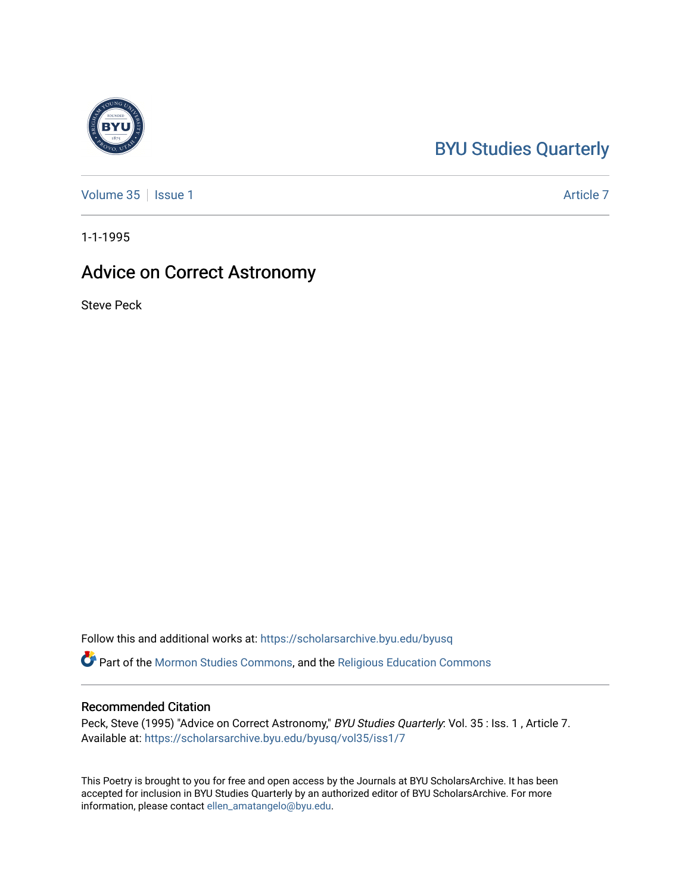## [BYU Studies Quarterly](https://scholarsarchive.byu.edu/byusq)

[Volume 35](https://scholarsarchive.byu.edu/byusq/vol35) | [Issue 1](https://scholarsarchive.byu.edu/byusq/vol35/iss1) Article 7

1-1-1995

## Advice on Correct Astronomy

Steve Peck

Follow this and additional works at: [https://scholarsarchive.byu.edu/byusq](https://scholarsarchive.byu.edu/byusq?utm_source=scholarsarchive.byu.edu%2Fbyusq%2Fvol35%2Fiss1%2F7&utm_medium=PDF&utm_campaign=PDFCoverPages) 

Part of the [Mormon Studies Commons](http://network.bepress.com/hgg/discipline/1360?utm_source=scholarsarchive.byu.edu%2Fbyusq%2Fvol35%2Fiss1%2F7&utm_medium=PDF&utm_campaign=PDFCoverPages), and the [Religious Education Commons](http://network.bepress.com/hgg/discipline/1414?utm_source=scholarsarchive.byu.edu%2Fbyusq%2Fvol35%2Fiss1%2F7&utm_medium=PDF&utm_campaign=PDFCoverPages) 

## Recommended Citation

Peck, Steve (1995) "Advice on Correct Astronomy," BYU Studies Quarterly: Vol. 35 : Iss. 1, Article 7. Available at: [https://scholarsarchive.byu.edu/byusq/vol35/iss1/7](https://scholarsarchive.byu.edu/byusq/vol35/iss1/7?utm_source=scholarsarchive.byu.edu%2Fbyusq%2Fvol35%2Fiss1%2F7&utm_medium=PDF&utm_campaign=PDFCoverPages)

This Poetry is brought to you for free and open access by the Journals at BYU ScholarsArchive. It has been accepted for inclusion in BYU Studies Quarterly by an authorized editor of BYU ScholarsArchive. For more information, please contact [ellen\\_amatangelo@byu.edu.](mailto:ellen_amatangelo@byu.edu)